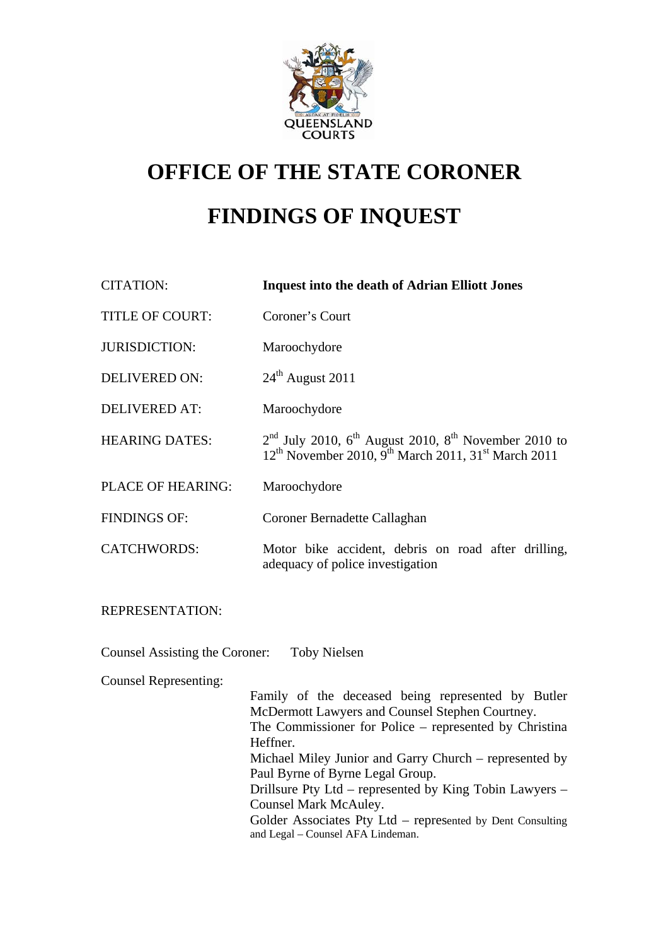

# **OFFICE OF THE STATE CORONER FINDINGS OF INQUEST**

| <b>CITATION:</b>                      | <b>Inquest into the death of Adrian Elliott Jones</b>                                                                                                                                                                                                                                                                                                                                                                                                            |
|---------------------------------------|------------------------------------------------------------------------------------------------------------------------------------------------------------------------------------------------------------------------------------------------------------------------------------------------------------------------------------------------------------------------------------------------------------------------------------------------------------------|
| TITLE OF COURT:                       | Coroner's Court                                                                                                                                                                                                                                                                                                                                                                                                                                                  |
| <b>JURISDICTION:</b>                  | Maroochydore                                                                                                                                                                                                                                                                                                                                                                                                                                                     |
| <b>DELIVERED ON:</b>                  | $24^{\text{th}}$ August 2011                                                                                                                                                                                                                                                                                                                                                                                                                                     |
| <b>DELIVERED AT:</b>                  | Maroochydore                                                                                                                                                                                                                                                                                                                                                                                                                                                     |
| <b>HEARING DATES:</b>                 | $2nd$ July 2010, 6 <sup>th</sup> August 2010, 8 <sup>th</sup> November 2010 to<br>12 <sup>th</sup> November 2010, 9 <sup>th</sup> March 2011, 31 <sup>st</sup> March 2011                                                                                                                                                                                                                                                                                        |
| PLACE OF HEARING:                     | Maroochydore                                                                                                                                                                                                                                                                                                                                                                                                                                                     |
| <b>FINDINGS OF:</b>                   | Coroner Bernadette Callaghan                                                                                                                                                                                                                                                                                                                                                                                                                                     |
| <b>CATCHWORDS:</b>                    | Motor bike accident, debris on road after drilling,<br>adequacy of police investigation                                                                                                                                                                                                                                                                                                                                                                          |
| REPRESENTATION:                       |                                                                                                                                                                                                                                                                                                                                                                                                                                                                  |
| <b>Counsel Assisting the Coroner:</b> | <b>Toby Nielsen</b>                                                                                                                                                                                                                                                                                                                                                                                                                                              |
| <b>Counsel Representing:</b>          | Family of the deceased being represented by Butler<br>McDermott Lawyers and Counsel Stephen Courtney.<br>The Commissioner for Police - represented by Christina<br>Heffner.<br>Michael Miley Junior and Garry Church – represented by<br>Paul Byrne of Byrne Legal Group.<br>Drillsure Pty Ltd – represented by King Tobin Lawyers –<br>Counsel Mark McAuley.<br>Golder Associates Pty Ltd – represented by Dent Consulting<br>and Legal - Counsel AFA Lindeman. |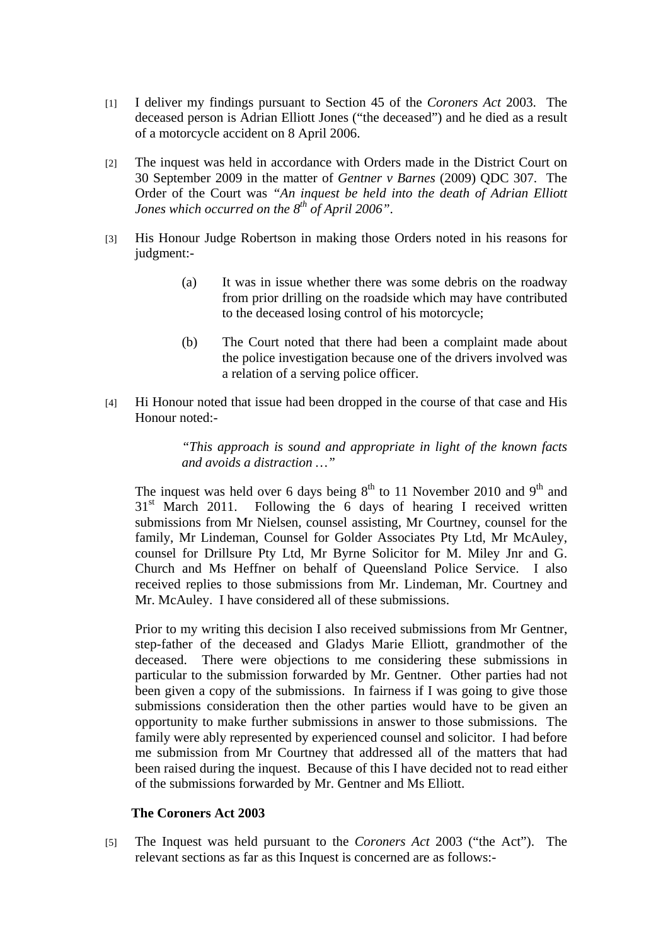- [1] I deliver my findings pursuant to Section 45 of the *Coroners Act* 2003. The deceased person is Adrian Elliott Jones ("the deceased") and he died as a result of a motorcycle accident on 8 April 2006.
- [2] The inquest was held in accordance with Orders made in the District Court on 30 September 2009 in the matter of *Gentner v Barnes* (2009) QDC 307. The Order of the Court was *"An inquest be held into the death of Adrian Elliott Jones which occurred on the 8<sup>th</sup> of April 2006"*.
- [3] His Honour Judge Robertson in making those Orders noted in his reasons for judgment:-
	- (a) It was in issue whether there was some debris on the roadway from prior drilling on the roadside which may have contributed to the deceased losing control of his motorcycle;
	- (b) The Court noted that there had been a complaint made about the police investigation because one of the drivers involved was a relation of a serving police officer.
- [4] Hi Honour noted that issue had been dropped in the course of that case and His Honour noted:-

*"This approach is sound and appropriate in light of the known facts and avoids a distraction …"*

The inquest was held over 6 days being  $8<sup>th</sup>$  to 11 November 2010 and 9<sup>th</sup> and  $31<sup>st</sup>$  March 2011. Following the 6 days of hearing I received written submissions from Mr Nielsen, counsel assisting, Mr Courtney, counsel for the family, Mr Lindeman, Counsel for Golder Associates Pty Ltd, Mr McAuley, counsel for Drillsure Pty Ltd, Mr Byrne Solicitor for M. Miley Jnr and G. Church and Ms Heffner on behalf of Queensland Police Service. I also received replies to those submissions from Mr. Lindeman, Mr. Courtney and Mr. McAuley. I have considered all of these submissions.

 Prior to my writing this decision I also received submissions from Mr Gentner, step-father of the deceased and Gladys Marie Elliott, grandmother of the deceased. There were objections to me considering these submissions in particular to the submission forwarded by Mr. Gentner. Other parties had not been given a copy of the submissions. In fairness if I was going to give those submissions consideration then the other parties would have to be given an opportunity to make further submissions in answer to those submissions. The family were ably represented by experienced counsel and solicitor. I had before me submission from Mr Courtney that addressed all of the matters that had been raised during the inquest. Because of this I have decided not to read either of the submissions forwarded by Mr. Gentner and Ms Elliott.

#### **The Coroners Act 2003**

[5] The Inquest was held pursuant to the *Coroners Act* 2003 ("the Act"). The relevant sections as far as this Inquest is concerned are as follows:-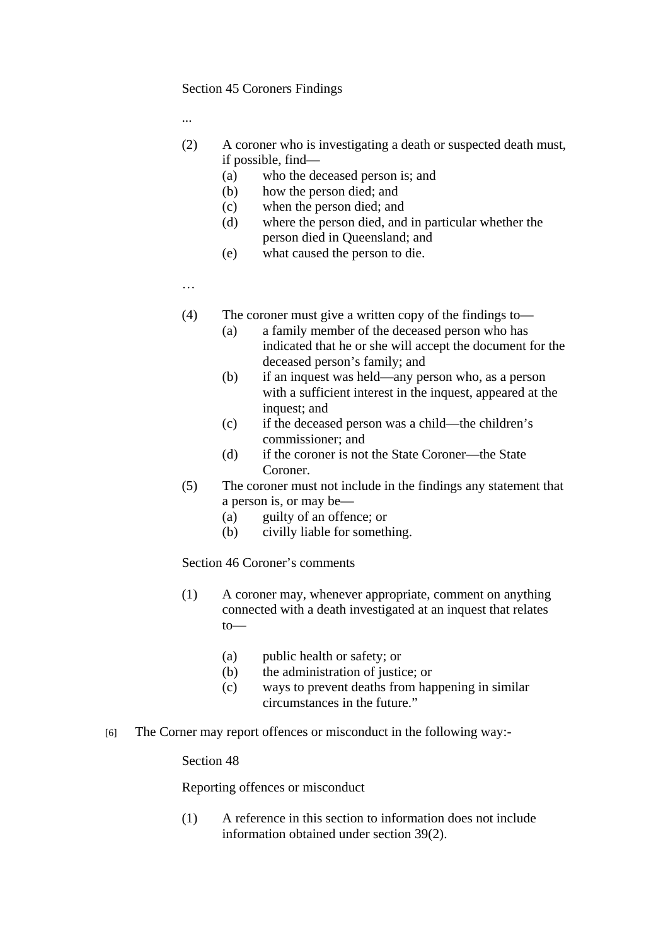#### Section 45 Coroners Findings

...

- (2) A coroner who is investigating a death or suspected death must, if possible, find—
	- (a) who the deceased person is; and
	- (b) how the person died; and
	- (c) when the person died; and
	- (d) where the person died, and in particular whether the person died in Queensland; and
	- (e) what caused the person to die.

…

- (4) The coroner must give a written copy of the findings to—
	- (a) a family member of the deceased person who has indicated that he or she will accept the document for the deceased person's family; and
	- (b) if an inquest was held—any person who, as a person with a sufficient interest in the inquest, appeared at the inquest; and
	- (c) if the deceased person was a child—the children's commissioner; and
	- (d) if the coroner is not the State Coroner—the State Coroner.
- (5) The coroner must not include in the findings any statement that a person is, or may be—
	- (a) guilty of an offence; or
	- (b) civilly liable for something.

Section 46 Coroner's comments

- (1) A coroner may, whenever appropriate, comment on anything connected with a death investigated at an inquest that relates to—
	- (a) public health or safety; or
	- (b) the administration of justice; or
	- (c) ways to prevent deaths from happening in similar circumstances in the future."
- [6] The Corner may report offences or misconduct in the following way:-

Section 48

Reporting offences or misconduct

(1) A reference in this section to information does not include information obtained under section 39(2).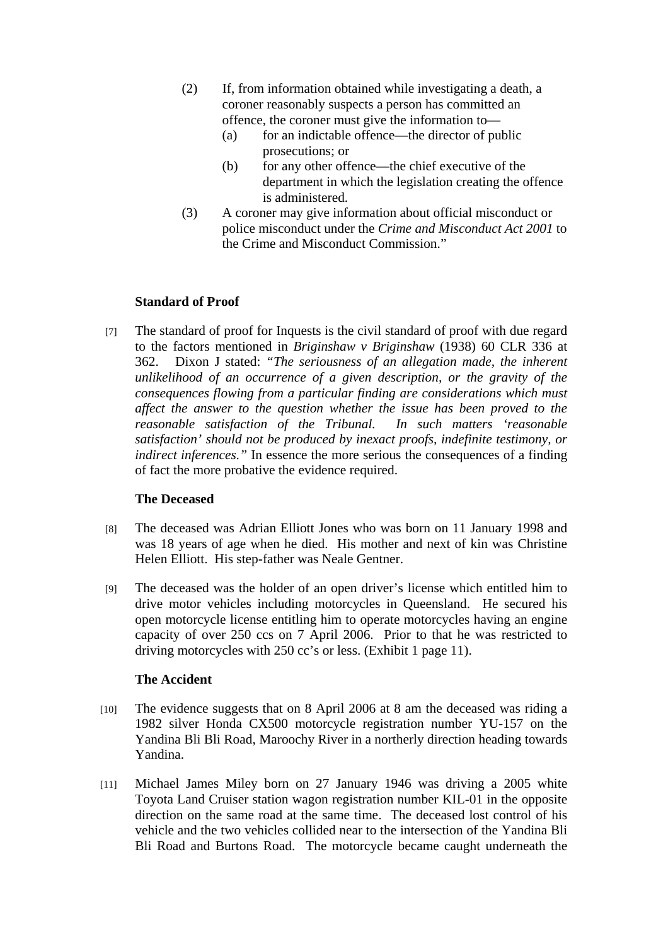- (2) If, from information obtained while investigating a death, a coroner reasonably suspects a person has committed an offence, the coroner must give the information to—
	- (a) for an indictable offence—the director of public prosecutions; or
	- (b) for any other offence—the chief executive of the department in which the legislation creating the offence is administered.
- (3) A coroner may give information about official misconduct or police misconduct under the *Crime and Misconduct Act 2001* to the Crime and Misconduct Commission."

# **Standard of Proof**

[7] The standard of proof for Inquests is the civil standard of proof with due regard to the factors mentioned in *Briginshaw v Briginshaw* (1938) 60 CLR 336 at 362. Dixon J stated: *"The seriousness of an allegation made, the inherent unlikelihood of an occurrence of a given description, or the gravity of the consequences flowing from a particular finding are considerations which must affect the answer to the question whether the issue has been proved to the reasonable satisfaction of the Tribunal. In such matters 'reasonable satisfaction' should not be produced by inexact proofs, indefinite testimony, or indirect inferences."* In essence the more serious the consequences of a finding of fact the more probative the evidence required.

## **The Deceased**

- [8] The deceased was Adrian Elliott Jones who was born on 11 January 1998 and was 18 years of age when he died. His mother and next of kin was Christine Helen Elliott. His step-father was Neale Gentner.
- [9] The deceased was the holder of an open driver's license which entitled him to drive motor vehicles including motorcycles in Queensland. He secured his open motorcycle license entitling him to operate motorcycles having an engine capacity of over 250 ccs on 7 April 2006. Prior to that he was restricted to driving motorcycles with 250 cc's or less. (Exhibit 1 page 11).

## **The Accident**

- [10] The evidence suggests that on 8 April 2006 at 8 am the deceased was riding a 1982 silver Honda CX500 motorcycle registration number YU-157 on the Yandina Bli Bli Road, Maroochy River in a northerly direction heading towards Yandina.
- [11] Michael James Miley born on 27 January 1946 was driving a 2005 white Toyota Land Cruiser station wagon registration number KIL-01 in the opposite direction on the same road at the same time. The deceased lost control of his vehicle and the two vehicles collided near to the intersection of the Yandina Bli Bli Road and Burtons Road. The motorcycle became caught underneath the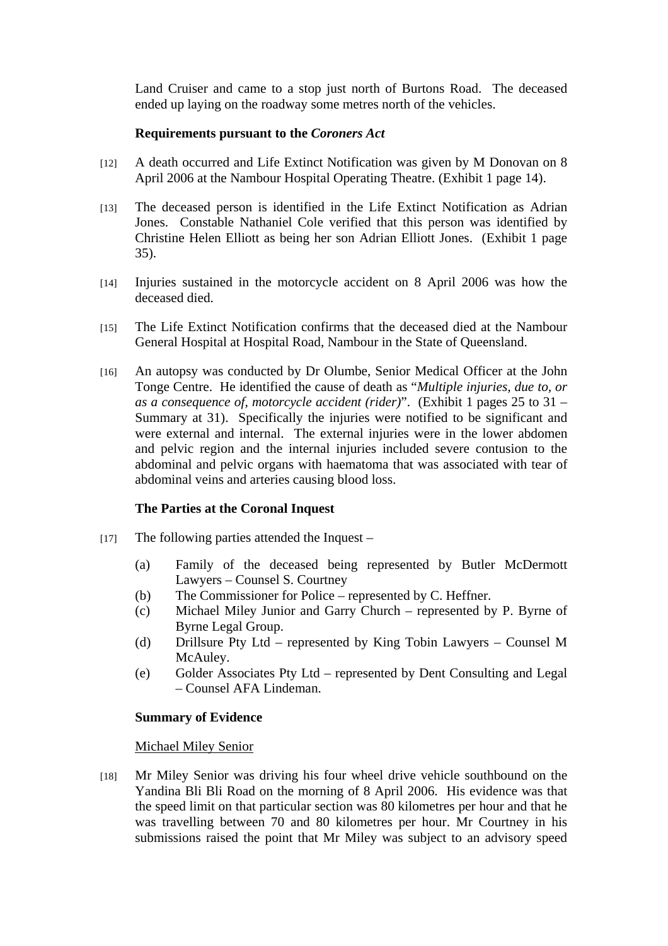Land Cruiser and came to a stop just north of Burtons Road. The deceased ended up laying on the roadway some metres north of the vehicles.

## **Requirements pursuant to the** *Coroners Act*

- [12] A death occurred and Life Extinct Notification was given by M Donovan on 8 April 2006 at the Nambour Hospital Operating Theatre. (Exhibit 1 page 14).
- [13] The deceased person is identified in the Life Extinct Notification as Adrian Jones. Constable Nathaniel Cole verified that this person was identified by Christine Helen Elliott as being her son Adrian Elliott Jones. (Exhibit 1 page 35).
- [14] Injuries sustained in the motorcycle accident on 8 April 2006 was how the deceased died.
- [15] The Life Extinct Notification confirms that the deceased died at the Nambour General Hospital at Hospital Road, Nambour in the State of Queensland.
- [16] An autopsy was conducted by Dr Olumbe, Senior Medical Officer at the John Tonge Centre. He identified the cause of death as "*Multiple injuries, due to, or as a consequence of, motorcycle accident (rider)*". (Exhibit 1 pages 25 to 31 – Summary at 31). Specifically the injuries were notified to be significant and were external and internal. The external injuries were in the lower abdomen and pelvic region and the internal injuries included severe contusion to the abdominal and pelvic organs with haematoma that was associated with tear of abdominal veins and arteries causing blood loss.

# **The Parties at the Coronal Inquest**

- [17] The following parties attended the Inquest
	- (a) Family of the deceased being represented by Butler McDermott Lawyers – Counsel S. Courtney
	- (b) The Commissioner for Police represented by C. Heffner.
	- (c) Michael Miley Junior and Garry Church represented by P. Byrne of Byrne Legal Group.
	- (d) Drillsure Pty Ltd represented by King Tobin Lawyers Counsel M McAuley.
	- (e) Golder Associates Pty Ltd represented by Dent Consulting and Legal – Counsel AFA Lindeman.

## **Summary of Evidence**

Michael Miley Senior

[18] Mr Miley Senior was driving his four wheel drive vehicle southbound on the Yandina Bli Bli Road on the morning of 8 April 2006. His evidence was that the speed limit on that particular section was 80 kilometres per hour and that he was travelling between 70 and 80 kilometres per hour. Mr Courtney in his submissions raised the point that Mr Miley was subject to an advisory speed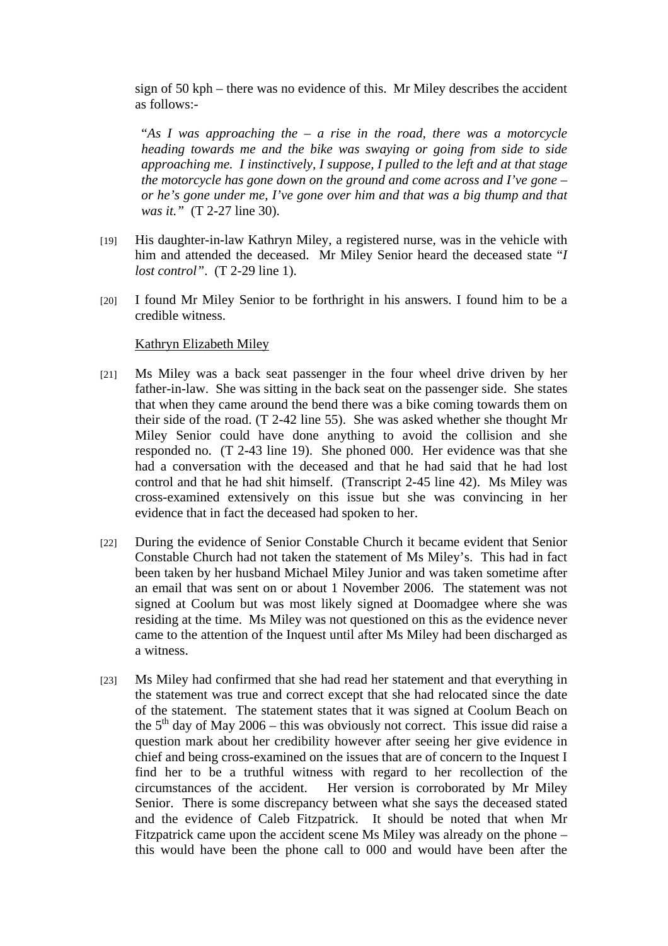sign of 50 kph – there was no evidence of this. Mr Miley describes the accident as follows:-

"*As I was approaching the – a rise in the road, there was a motorcycle heading towards me and the bike was swaying or going from side to side approaching me. I instinctively, I suppose, I pulled to the left and at that stage the motorcycle has gone down on the ground and come across and I've gone – or he's gone under me, I've gone over him and that was a big thump and that was it."* (T 2-27 line 30).

- [19] His daughter-in-law Kathryn Miley, a registered nurse, was in the vehicle with him and attended the deceased. Mr Miley Senior heard the deceased state "*I lost control"*. (T 2-29 line 1).
- [20] I found Mr Miley Senior to be forthright in his answers. I found him to be a credible witness.

#### Kathryn Elizabeth Miley

- [21] Ms Miley was a back seat passenger in the four wheel drive driven by her father-in-law. She was sitting in the back seat on the passenger side. She states that when they came around the bend there was a bike coming towards them on their side of the road. (T 2-42 line 55). She was asked whether she thought Mr Miley Senior could have done anything to avoid the collision and she responded no. (T 2-43 line 19). She phoned 000. Her evidence was that she had a conversation with the deceased and that he had said that he had lost control and that he had shit himself. (Transcript 2-45 line 42). Ms Miley was cross-examined extensively on this issue but she was convincing in her evidence that in fact the deceased had spoken to her.
- [22] During the evidence of Senior Constable Church it became evident that Senior Constable Church had not taken the statement of Ms Miley's. This had in fact been taken by her husband Michael Miley Junior and was taken sometime after an email that was sent on or about 1 November 2006. The statement was not signed at Coolum but was most likely signed at Doomadgee where she was residing at the time. Ms Miley was not questioned on this as the evidence never came to the attention of the Inquest until after Ms Miley had been discharged as a witness.
- [23] Ms Miley had confirmed that she had read her statement and that everything in the statement was true and correct except that she had relocated since the date of the statement. The statement states that it was signed at Coolum Beach on the  $5<sup>th</sup>$  day of May 2006 – this was obviously not correct. This issue did raise a question mark about her credibility however after seeing her give evidence in chief and being cross-examined on the issues that are of concern to the Inquest I find her to be a truthful witness with regard to her recollection of the circumstances of the accident. Her version is corroborated by Mr Miley Senior. There is some discrepancy between what she says the deceased stated and the evidence of Caleb Fitzpatrick. It should be noted that when Mr Fitzpatrick came upon the accident scene Ms Miley was already on the phone – this would have been the phone call to 000 and would have been after the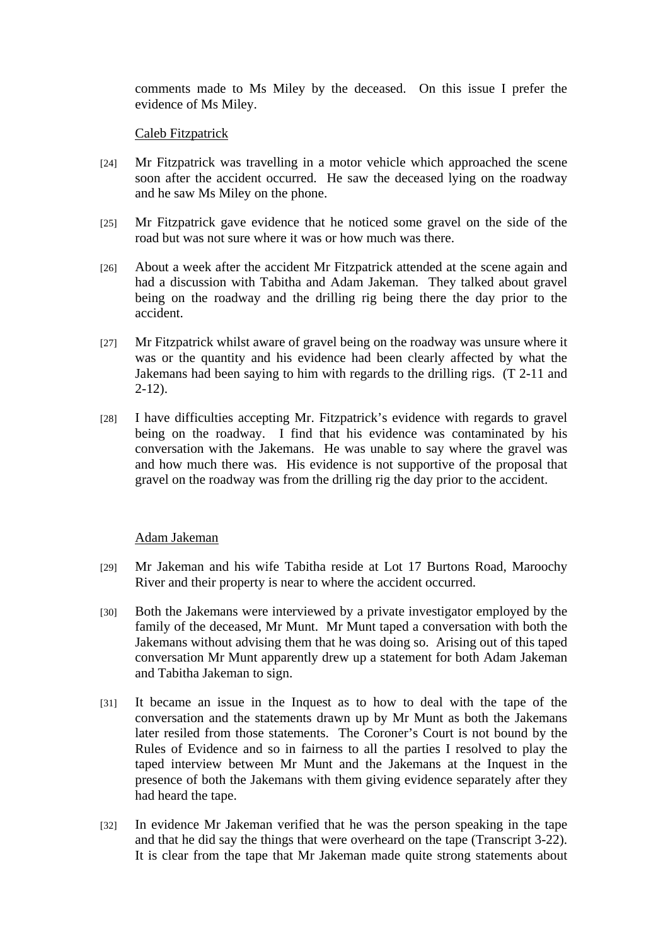comments made to Ms Miley by the deceased. On this issue I prefer the evidence of Ms Miley.

## Caleb Fitzpatrick

- [24] Mr Fitzpatrick was travelling in a motor vehicle which approached the scene soon after the accident occurred. He saw the deceased lying on the roadway and he saw Ms Miley on the phone.
- [25] Mr Fitzpatrick gave evidence that he noticed some gravel on the side of the road but was not sure where it was or how much was there.
- [26] About a week after the accident Mr Fitzpatrick attended at the scene again and had a discussion with Tabitha and Adam Jakeman. They talked about gravel being on the roadway and the drilling rig being there the day prior to the accident.
- [27] Mr Fitzpatrick whilst aware of gravel being on the roadway was unsure where it was or the quantity and his evidence had been clearly affected by what the Jakemans had been saying to him with regards to the drilling rigs. (T 2-11 and  $2 - 12$ ).
- [28] I have difficulties accepting Mr. Fitzpatrick's evidence with regards to gravel being on the roadway. I find that his evidence was contaminated by his conversation with the Jakemans. He was unable to say where the gravel was and how much there was. His evidence is not supportive of the proposal that gravel on the roadway was from the drilling rig the day prior to the accident.

## Adam Jakeman

- [29] Mr Jakeman and his wife Tabitha reside at Lot 17 Burtons Road, Maroochy River and their property is near to where the accident occurred.
- [30] Both the Jakemans were interviewed by a private investigator employed by the family of the deceased, Mr Munt. Mr Munt taped a conversation with both the Jakemans without advising them that he was doing so. Arising out of this taped conversation Mr Munt apparently drew up a statement for both Adam Jakeman and Tabitha Jakeman to sign.
- [31] It became an issue in the Inquest as to how to deal with the tape of the conversation and the statements drawn up by Mr Munt as both the Jakemans later resiled from those statements. The Coroner's Court is not bound by the Rules of Evidence and so in fairness to all the parties I resolved to play the taped interview between Mr Munt and the Jakemans at the Inquest in the presence of both the Jakemans with them giving evidence separately after they had heard the tape.
- [32] In evidence Mr Jakeman verified that he was the person speaking in the tape and that he did say the things that were overheard on the tape (Transcript 3-22). It is clear from the tape that Mr Jakeman made quite strong statements about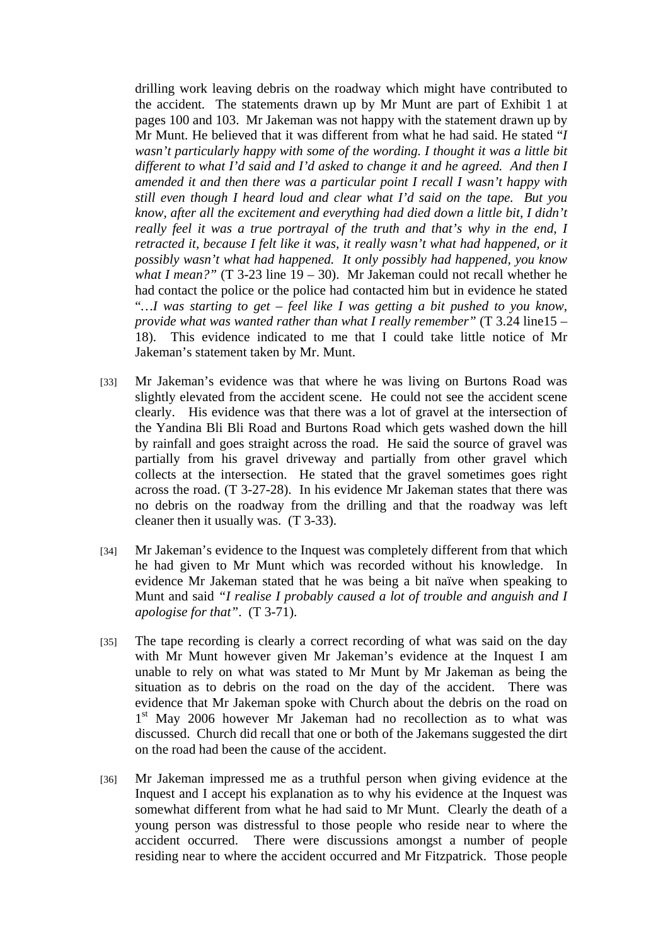drilling work leaving debris on the roadway which might have contributed to the accident. The statements drawn up by Mr Munt are part of Exhibit 1 at pages 100 and 103. Mr Jakeman was not happy with the statement drawn up by Mr Munt. He believed that it was different from what he had said. He stated "*I wasn't particularly happy with some of the wording. I thought it was a little bit different to what I'd said and I'd asked to change it and he agreed. And then I amended it and then there was a particular point I recall I wasn't happy with still even though I heard loud and clear what I'd said on the tape. But you know, after all the excitement and everything had died down a little bit, I didn't really feel it was a true portrayal of the truth and that's why in the end, I retracted it, because I felt like it was, it really wasn't what had happened, or it possibly wasn't what had happened. It only possibly had happened, you know what I mean?"* (T 3-23 line  $19 - 30$ ). Mr Jakeman could not recall whether he had contact the police or the police had contacted him but in evidence he stated "*…I was starting to get – feel like I was getting a bit pushed to you know, provide what was wanted rather than what I really remember"* (T 3.24 line15 – 18). This evidence indicated to me that I could take little notice of Mr Jakeman's statement taken by Mr. Munt.

- [33] Mr Jakeman's evidence was that where he was living on Burtons Road was slightly elevated from the accident scene. He could not see the accident scene clearly. His evidence was that there was a lot of gravel at the intersection of the Yandina Bli Bli Road and Burtons Road which gets washed down the hill by rainfall and goes straight across the road. He said the source of gravel was partially from his gravel driveway and partially from other gravel which collects at the intersection. He stated that the gravel sometimes goes right across the road. (T 3-27-28). In his evidence Mr Jakeman states that there was no debris on the roadway from the drilling and that the roadway was left cleaner then it usually was. (T 3-33).
- [34] Mr Jakeman's evidence to the Inquest was completely different from that which he had given to Mr Munt which was recorded without his knowledge. In evidence Mr Jakeman stated that he was being a bit naïve when speaking to Munt and said *"I realise I probably caused a lot of trouble and anguish and I apologise for that"*. (T 3-71).
- [35] The tape recording is clearly a correct recording of what was said on the day with Mr Munt however given Mr Jakeman's evidence at the Inquest I am unable to rely on what was stated to Mr Munt by Mr Jakeman as being the situation as to debris on the road on the day of the accident. There was evidence that Mr Jakeman spoke with Church about the debris on the road on 1<sup>st</sup> May 2006 however Mr Jakeman had no recollection as to what was discussed. Church did recall that one or both of the Jakemans suggested the dirt on the road had been the cause of the accident.
- [36] Mr Jakeman impressed me as a truthful person when giving evidence at the Inquest and I accept his explanation as to why his evidence at the Inquest was somewhat different from what he had said to Mr Munt. Clearly the death of a young person was distressful to those people who reside near to where the accident occurred. There were discussions amongst a number of people residing near to where the accident occurred and Mr Fitzpatrick. Those people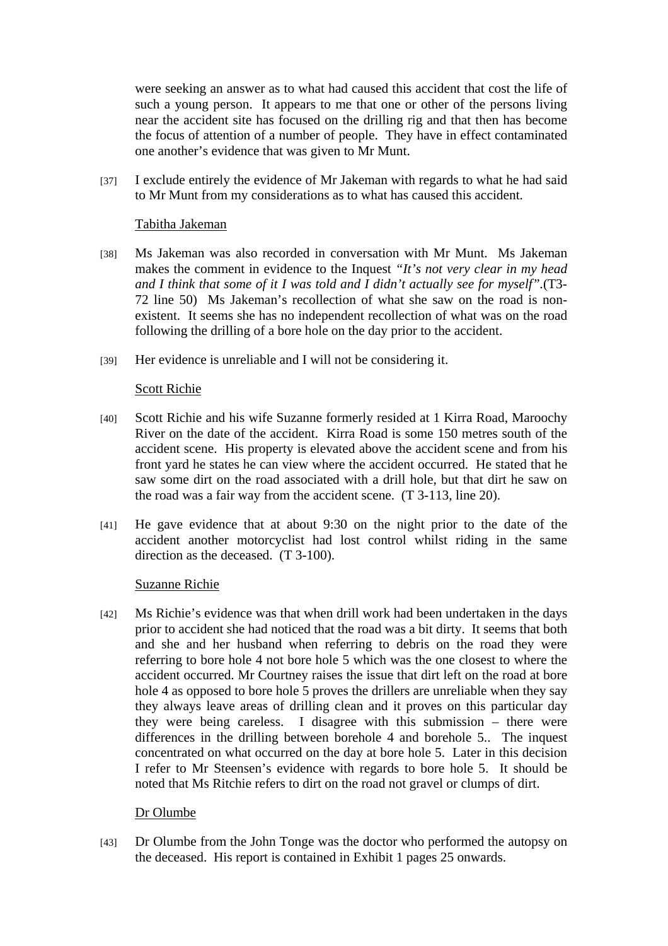were seeking an answer as to what had caused this accident that cost the life of such a young person. It appears to me that one or other of the persons living near the accident site has focused on the drilling rig and that then has become the focus of attention of a number of people. They have in effect contaminated one another's evidence that was given to Mr Munt.

[37] I exclude entirely the evidence of Mr Jakeman with regards to what he had said to Mr Munt from my considerations as to what has caused this accident.

#### Tabitha Jakeman

- [38] Ms Jakeman was also recorded in conversation with Mr Munt. Ms Jakeman makes the comment in evidence to the Inquest *"It's not very clear in my head and I think that some of it I was told and I didn't actually see for myself".*(T3- 72 line 50) Ms Jakeman's recollection of what she saw on the road is nonexistent. It seems she has no independent recollection of what was on the road following the drilling of a bore hole on the day prior to the accident.
- [39] Her evidence is unreliable and I will not be considering it.

#### Scott Richie

- [40] Scott Richie and his wife Suzanne formerly resided at 1 Kirra Road, Maroochy River on the date of the accident. Kirra Road is some 150 metres south of the accident scene. His property is elevated above the accident scene and from his front yard he states he can view where the accident occurred. He stated that he saw some dirt on the road associated with a drill hole, but that dirt he saw on the road was a fair way from the accident scene. (T 3-113, line 20).
- [41] He gave evidence that at about 9:30 on the night prior to the date of the accident another motorcyclist had lost control whilst riding in the same direction as the deceased. (T 3-100).

## Suzanne Richie

[42] Ms Richie's evidence was that when drill work had been undertaken in the days prior to accident she had noticed that the road was a bit dirty. It seems that both and she and her husband when referring to debris on the road they were referring to bore hole 4 not bore hole 5 which was the one closest to where the accident occurred. Mr Courtney raises the issue that dirt left on the road at bore hole 4 as opposed to bore hole 5 proves the drillers are unreliable when they say they always leave areas of drilling clean and it proves on this particular day they were being careless. I disagree with this submission – there were differences in the drilling between borehole 4 and borehole 5.. The inquest concentrated on what occurred on the day at bore hole 5. Later in this decision I refer to Mr Steensen's evidence with regards to bore hole 5. It should be noted that Ms Ritchie refers to dirt on the road not gravel or clumps of dirt.

## Dr Olumbe

[43] Dr Olumbe from the John Tonge was the doctor who performed the autopsy on the deceased. His report is contained in Exhibit 1 pages 25 onwards.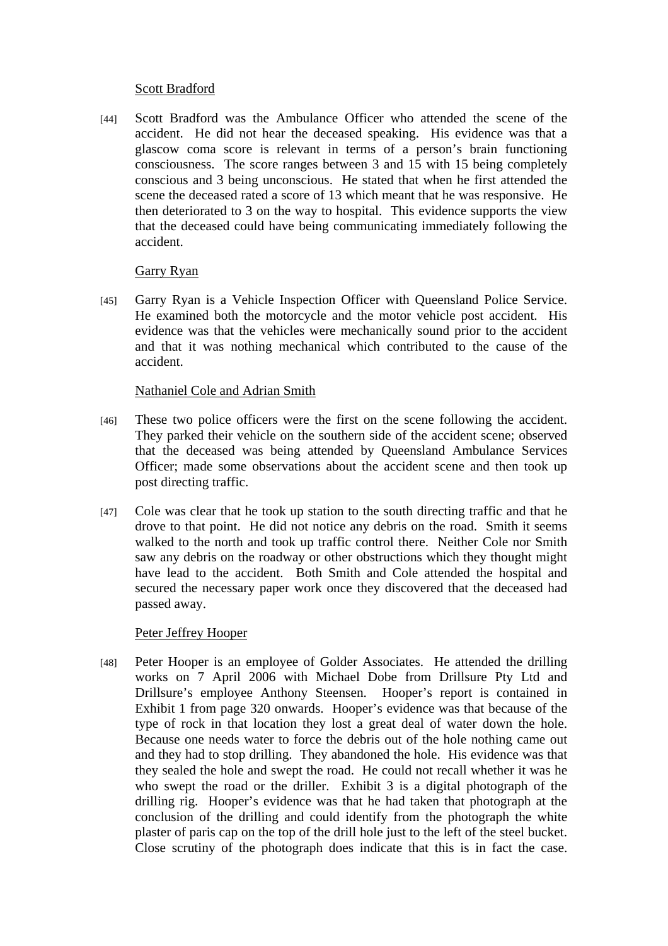#### Scott Bradford

[44] Scott Bradford was the Ambulance Officer who attended the scene of the accident. He did not hear the deceased speaking. His evidence was that a glascow coma score is relevant in terms of a person's brain functioning consciousness. The score ranges between 3 and 15 with 15 being completely conscious and 3 being unconscious. He stated that when he first attended the scene the deceased rated a score of 13 which meant that he was responsive. He then deteriorated to 3 on the way to hospital. This evidence supports the view that the deceased could have being communicating immediately following the accident.

## Garry Ryan

[45] Garry Ryan is a Vehicle Inspection Officer with Queensland Police Service. He examined both the motorcycle and the motor vehicle post accident. His evidence was that the vehicles were mechanically sound prior to the accident and that it was nothing mechanical which contributed to the cause of the accident.

# Nathaniel Cole and Adrian Smith

- [46] These two police officers were the first on the scene following the accident. They parked their vehicle on the southern side of the accident scene; observed that the deceased was being attended by Queensland Ambulance Services Officer; made some observations about the accident scene and then took up post directing traffic.
- [47] Cole was clear that he took up station to the south directing traffic and that he drove to that point. He did not notice any debris on the road. Smith it seems walked to the north and took up traffic control there. Neither Cole nor Smith saw any debris on the roadway or other obstructions which they thought might have lead to the accident. Both Smith and Cole attended the hospital and secured the necessary paper work once they discovered that the deceased had passed away.

## Peter Jeffrey Hooper

[48] Peter Hooper is an employee of Golder Associates. He attended the drilling works on 7 April 2006 with Michael Dobe from Drillsure Pty Ltd and Drillsure's employee Anthony Steensen. Hooper's report is contained in Exhibit 1 from page 320 onwards. Hooper's evidence was that because of the type of rock in that location they lost a great deal of water down the hole. Because one needs water to force the debris out of the hole nothing came out and they had to stop drilling. They abandoned the hole. His evidence was that they sealed the hole and swept the road. He could not recall whether it was he who swept the road or the driller. Exhibit 3 is a digital photograph of the drilling rig. Hooper's evidence was that he had taken that photograph at the conclusion of the drilling and could identify from the photograph the white plaster of paris cap on the top of the drill hole just to the left of the steel bucket. Close scrutiny of the photograph does indicate that this is in fact the case.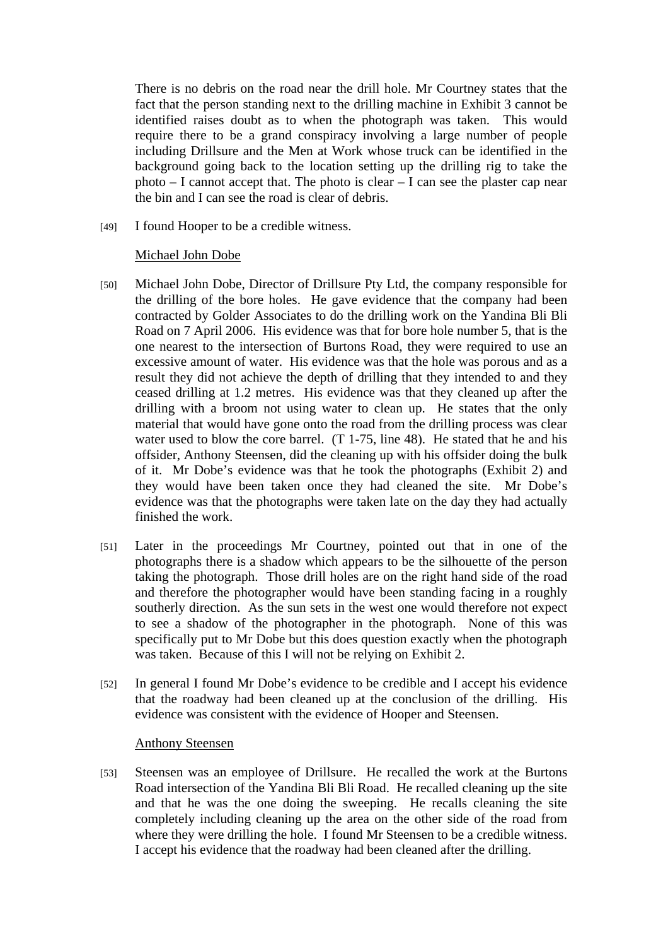There is no debris on the road near the drill hole. Mr Courtney states that the fact that the person standing next to the drilling machine in Exhibit 3 cannot be identified raises doubt as to when the photograph was taken. This would require there to be a grand conspiracy involving a large number of people including Drillsure and the Men at Work whose truck can be identified in the background going back to the location setting up the drilling rig to take the photo – I cannot accept that. The photo is clear – I can see the plaster cap near the bin and I can see the road is clear of debris.

[49] I found Hooper to be a credible witness.

## Michael John Dobe

- [50] Michael John Dobe, Director of Drillsure Pty Ltd, the company responsible for the drilling of the bore holes. He gave evidence that the company had been contracted by Golder Associates to do the drilling work on the Yandina Bli Bli Road on 7 April 2006. His evidence was that for bore hole number 5, that is the one nearest to the intersection of Burtons Road, they were required to use an excessive amount of water. His evidence was that the hole was porous and as a result they did not achieve the depth of drilling that they intended to and they ceased drilling at 1.2 metres. His evidence was that they cleaned up after the drilling with a broom not using water to clean up. He states that the only material that would have gone onto the road from the drilling process was clear water used to blow the core barrel. (T 1-75, line 48). He stated that he and his offsider, Anthony Steensen, did the cleaning up with his offsider doing the bulk of it. Mr Dobe's evidence was that he took the photographs (Exhibit 2) and they would have been taken once they had cleaned the site. Mr Dobe's evidence was that the photographs were taken late on the day they had actually finished the work.
- [51] Later in the proceedings Mr Courtney, pointed out that in one of the photographs there is a shadow which appears to be the silhouette of the person taking the photograph. Those drill holes are on the right hand side of the road and therefore the photographer would have been standing facing in a roughly southerly direction. As the sun sets in the west one would therefore not expect to see a shadow of the photographer in the photograph. None of this was specifically put to Mr Dobe but this does question exactly when the photograph was taken. Because of this I will not be relying on Exhibit 2.
- [52] In general I found Mr Dobe's evidence to be credible and I accept his evidence that the roadway had been cleaned up at the conclusion of the drilling. His evidence was consistent with the evidence of Hooper and Steensen.

#### Anthony Steensen

[53] Steensen was an employee of Drillsure. He recalled the work at the Burtons Road intersection of the Yandina Bli Bli Road. He recalled cleaning up the site and that he was the one doing the sweeping. He recalls cleaning the site completely including cleaning up the area on the other side of the road from where they were drilling the hole. I found Mr Steensen to be a credible witness. I accept his evidence that the roadway had been cleaned after the drilling.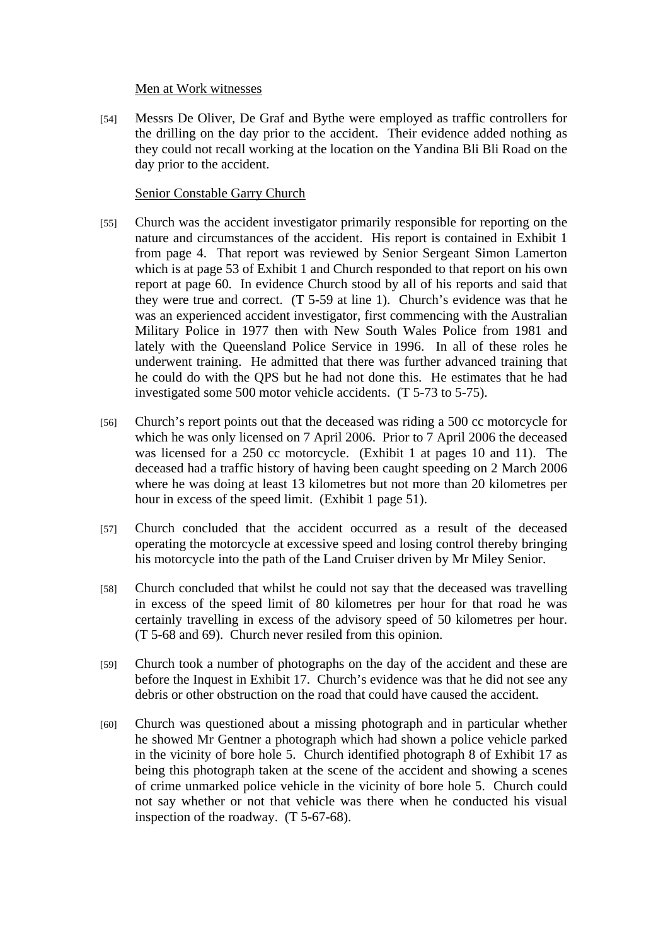#### Men at Work witnesses

[54] Messrs De Oliver, De Graf and Bythe were employed as traffic controllers for the drilling on the day prior to the accident. Their evidence added nothing as they could not recall working at the location on the Yandina Bli Bli Road on the day prior to the accident.

## Senior Constable Garry Church

- [55] Church was the accident investigator primarily responsible for reporting on the nature and circumstances of the accident. His report is contained in Exhibit 1 from page 4. That report was reviewed by Senior Sergeant Simon Lamerton which is at page 53 of Exhibit 1 and Church responded to that report on his own report at page 60. In evidence Church stood by all of his reports and said that they were true and correct. (T 5-59 at line 1). Church's evidence was that he was an experienced accident investigator, first commencing with the Australian Military Police in 1977 then with New South Wales Police from 1981 and lately with the Queensland Police Service in 1996. In all of these roles he underwent training. He admitted that there was further advanced training that he could do with the QPS but he had not done this. He estimates that he had investigated some 500 motor vehicle accidents. (T 5-73 to 5-75).
- [56] Church's report points out that the deceased was riding a 500 cc motorcycle for which he was only licensed on 7 April 2006. Prior to 7 April 2006 the deceased was licensed for a 250 cc motorcycle. (Exhibit 1 at pages 10 and 11). The deceased had a traffic history of having been caught speeding on 2 March 2006 where he was doing at least 13 kilometres but not more than 20 kilometres per hour in excess of the speed limit. (Exhibit 1 page 51).
- [57] Church concluded that the accident occurred as a result of the deceased operating the motorcycle at excessive speed and losing control thereby bringing his motorcycle into the path of the Land Cruiser driven by Mr Miley Senior.
- [58] Church concluded that whilst he could not say that the deceased was travelling in excess of the speed limit of 80 kilometres per hour for that road he was certainly travelling in excess of the advisory speed of 50 kilometres per hour. (T 5-68 and 69). Church never resiled from this opinion.
- [59] Church took a number of photographs on the day of the accident and these are before the Inquest in Exhibit 17. Church's evidence was that he did not see any debris or other obstruction on the road that could have caused the accident.
- [60] Church was questioned about a missing photograph and in particular whether he showed Mr Gentner a photograph which had shown a police vehicle parked in the vicinity of bore hole 5. Church identified photograph 8 of Exhibit 17 as being this photograph taken at the scene of the accident and showing a scenes of crime unmarked police vehicle in the vicinity of bore hole 5. Church could not say whether or not that vehicle was there when he conducted his visual inspection of the roadway. (T 5-67-68).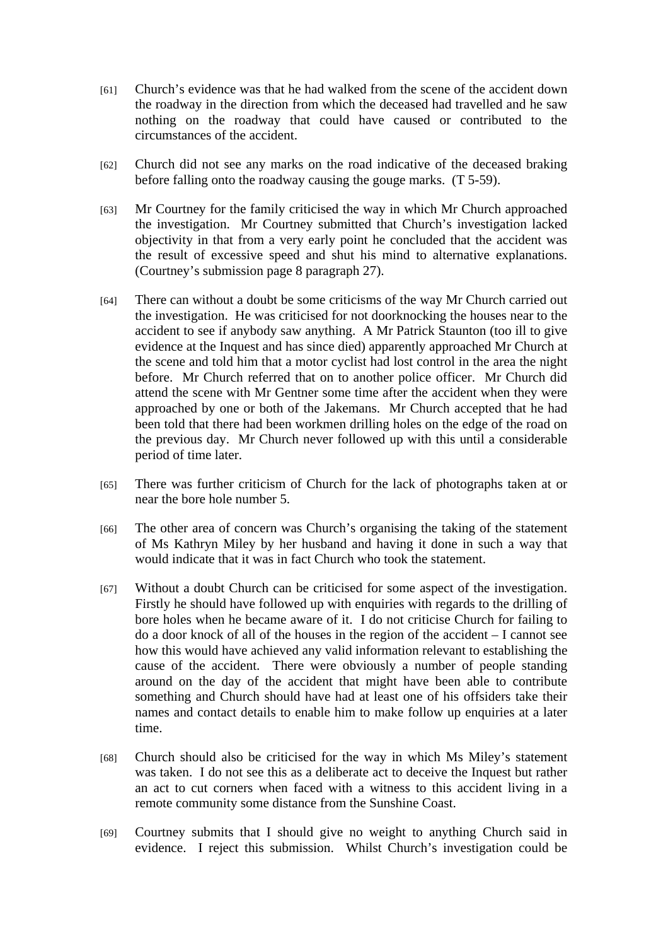- [61] Church's evidence was that he had walked from the scene of the accident down the roadway in the direction from which the deceased had travelled and he saw nothing on the roadway that could have caused or contributed to the circumstances of the accident.
- [62] Church did not see any marks on the road indicative of the deceased braking before falling onto the roadway causing the gouge marks. (T 5-59).
- [63] Mr Courtney for the family criticised the way in which Mr Church approached the investigation. Mr Courtney submitted that Church's investigation lacked objectivity in that from a very early point he concluded that the accident was the result of excessive speed and shut his mind to alternative explanations. (Courtney's submission page 8 paragraph 27).
- [64] There can without a doubt be some criticisms of the way Mr Church carried out the investigation. He was criticised for not doorknocking the houses near to the accident to see if anybody saw anything. A Mr Patrick Staunton (too ill to give evidence at the Inquest and has since died) apparently approached Mr Church at the scene and told him that a motor cyclist had lost control in the area the night before. Mr Church referred that on to another police officer. Mr Church did attend the scene with Mr Gentner some time after the accident when they were approached by one or both of the Jakemans. Mr Church accepted that he had been told that there had been workmen drilling holes on the edge of the road on the previous day. Mr Church never followed up with this until a considerable period of time later.
- [65] There was further criticism of Church for the lack of photographs taken at or near the bore hole number 5.
- [66] The other area of concern was Church's organising the taking of the statement of Ms Kathryn Miley by her husband and having it done in such a way that would indicate that it was in fact Church who took the statement.
- [67] Without a doubt Church can be criticised for some aspect of the investigation. Firstly he should have followed up with enquiries with regards to the drilling of bore holes when he became aware of it. I do not criticise Church for failing to do a door knock of all of the houses in the region of the accident – I cannot see how this would have achieved any valid information relevant to establishing the cause of the accident. There were obviously a number of people standing around on the day of the accident that might have been able to contribute something and Church should have had at least one of his offsiders take their names and contact details to enable him to make follow up enquiries at a later time.
- [68] Church should also be criticised for the way in which Ms Miley's statement was taken. I do not see this as a deliberate act to deceive the Inquest but rather an act to cut corners when faced with a witness to this accident living in a remote community some distance from the Sunshine Coast.
- [69] Courtney submits that I should give no weight to anything Church said in evidence. I reject this submission. Whilst Church's investigation could be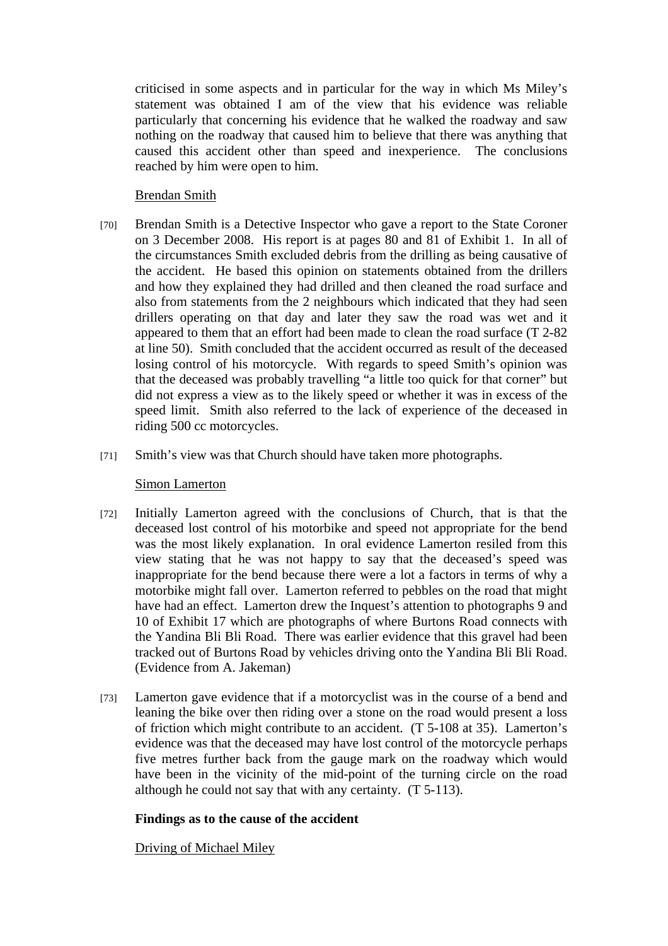criticised in some aspects and in particular for the way in which Ms Miley's statement was obtained I am of the view that his evidence was reliable particularly that concerning his evidence that he walked the roadway and saw nothing on the roadway that caused him to believe that there was anything that caused this accident other than speed and inexperience. The conclusions reached by him were open to him.

## Brendan Smith

- [70] Brendan Smith is a Detective Inspector who gave a report to the State Coroner on 3 December 2008. His report is at pages 80 and 81 of Exhibit 1. In all of the circumstances Smith excluded debris from the drilling as being causative of the accident. He based this opinion on statements obtained from the drillers and how they explained they had drilled and then cleaned the road surface and also from statements from the 2 neighbours which indicated that they had seen drillers operating on that day and later they saw the road was wet and it appeared to them that an effort had been made to clean the road surface (T 2-82 at line 50). Smith concluded that the accident occurred as result of the deceased losing control of his motorcycle. With regards to speed Smith's opinion was that the deceased was probably travelling "a little too quick for that corner" but did not express a view as to the likely speed or whether it was in excess of the speed limit. Smith also referred to the lack of experience of the deceased in riding 500 cc motorcycles.
- [71] Smith's view was that Church should have taken more photographs.

## Simon Lamerton

- [72] Initially Lamerton agreed with the conclusions of Church, that is that the deceased lost control of his motorbike and speed not appropriate for the bend was the most likely explanation. In oral evidence Lamerton resiled from this view stating that he was not happy to say that the deceased's speed was inappropriate for the bend because there were a lot a factors in terms of why a motorbike might fall over. Lamerton referred to pebbles on the road that might have had an effect. Lamerton drew the Inquest's attention to photographs 9 and 10 of Exhibit 17 which are photographs of where Burtons Road connects with the Yandina Bli Bli Road. There was earlier evidence that this gravel had been tracked out of Burtons Road by vehicles driving onto the Yandina Bli Bli Road. (Evidence from A. Jakeman)
- [73] Lamerton gave evidence that if a motorcyclist was in the course of a bend and leaning the bike over then riding over a stone on the road would present a loss of friction which might contribute to an accident. (T 5-108 at 35). Lamerton's evidence was that the deceased may have lost control of the motorcycle perhaps five metres further back from the gauge mark on the roadway which would have been in the vicinity of the mid-point of the turning circle on the road although he could not say that with any certainty. (T 5-113).

## **Findings as to the cause of the accident**

Driving of Michael Miley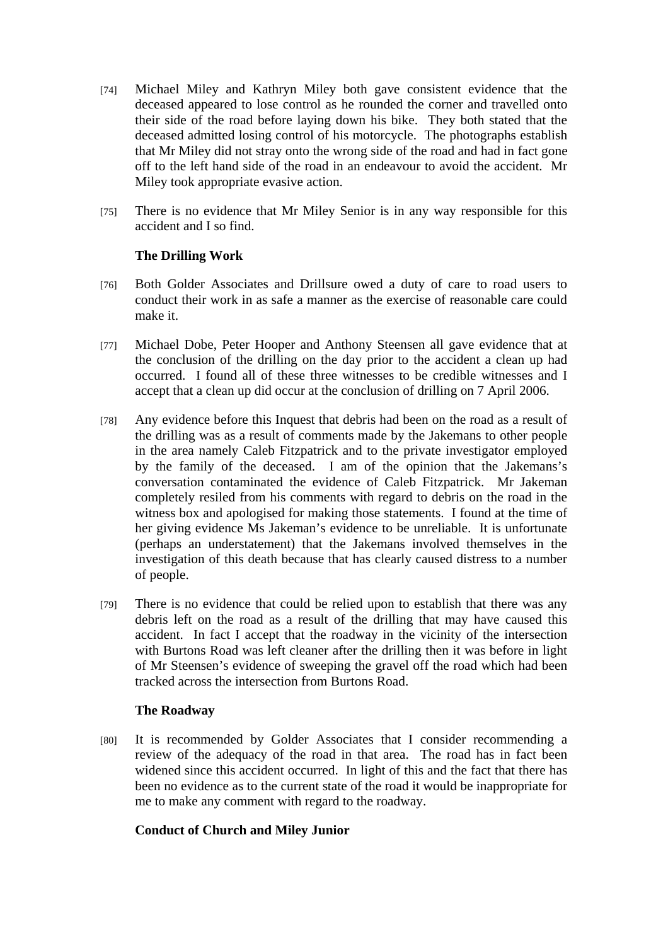- [74] Michael Miley and Kathryn Miley both gave consistent evidence that the deceased appeared to lose control as he rounded the corner and travelled onto their side of the road before laying down his bike. They both stated that the deceased admitted losing control of his motorcycle. The photographs establish that Mr Miley did not stray onto the wrong side of the road and had in fact gone off to the left hand side of the road in an endeavour to avoid the accident. Mr Miley took appropriate evasive action.
- [75] There is no evidence that Mr Miley Senior is in any way responsible for this accident and I so find.

# **The Drilling Work**

- [76] Both Golder Associates and Drillsure owed a duty of care to road users to conduct their work in as safe a manner as the exercise of reasonable care could make it.
- [77] Michael Dobe, Peter Hooper and Anthony Steensen all gave evidence that at the conclusion of the drilling on the day prior to the accident a clean up had occurred. I found all of these three witnesses to be credible witnesses and I accept that a clean up did occur at the conclusion of drilling on 7 April 2006.
- [78] Any evidence before this Inquest that debris had been on the road as a result of the drilling was as a result of comments made by the Jakemans to other people in the area namely Caleb Fitzpatrick and to the private investigator employed by the family of the deceased. I am of the opinion that the Jakemans's conversation contaminated the evidence of Caleb Fitzpatrick. Mr Jakeman completely resiled from his comments with regard to debris on the road in the witness box and apologised for making those statements. I found at the time of her giving evidence Ms Jakeman's evidence to be unreliable. It is unfortunate (perhaps an understatement) that the Jakemans involved themselves in the investigation of this death because that has clearly caused distress to a number of people.
- [79] There is no evidence that could be relied upon to establish that there was any debris left on the road as a result of the drilling that may have caused this accident. In fact I accept that the roadway in the vicinity of the intersection with Burtons Road was left cleaner after the drilling then it was before in light of Mr Steensen's evidence of sweeping the gravel off the road which had been tracked across the intersection from Burtons Road.

## **The Roadway**

[80] It is recommended by Golder Associates that I consider recommending a review of the adequacy of the road in that area. The road has in fact been widened since this accident occurred. In light of this and the fact that there has been no evidence as to the current state of the road it would be inappropriate for me to make any comment with regard to the roadway.

# **Conduct of Church and Miley Junior**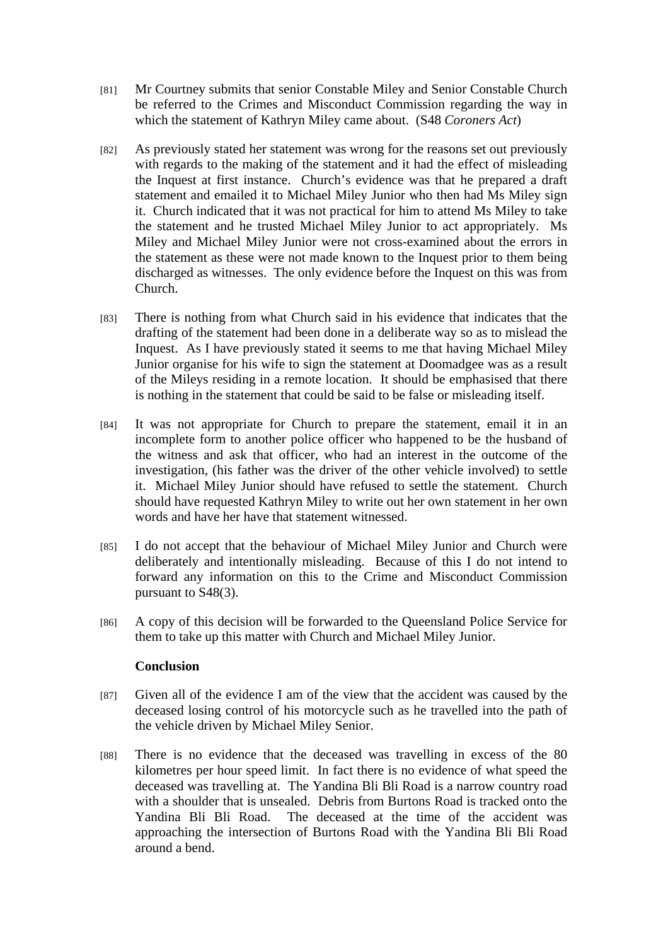- [81] Mr Courtney submits that senior Constable Miley and Senior Constable Church be referred to the Crimes and Misconduct Commission regarding the way in which the statement of Kathryn Miley came about. (S48 *Coroners Act*)
- [82] As previously stated her statement was wrong for the reasons set out previously with regards to the making of the statement and it had the effect of misleading the Inquest at first instance. Church's evidence was that he prepared a draft statement and emailed it to Michael Miley Junior who then had Ms Miley sign it. Church indicated that it was not practical for him to attend Ms Miley to take the statement and he trusted Michael Miley Junior to act appropriately. Ms Miley and Michael Miley Junior were not cross-examined about the errors in the statement as these were not made known to the Inquest prior to them being discharged as witnesses. The only evidence before the Inquest on this was from Church.
- [83] There is nothing from what Church said in his evidence that indicates that the drafting of the statement had been done in a deliberate way so as to mislead the Inquest. As I have previously stated it seems to me that having Michael Miley Junior organise for his wife to sign the statement at Doomadgee was as a result of the Mileys residing in a remote location. It should be emphasised that there is nothing in the statement that could be said to be false or misleading itself.
- [84] It was not appropriate for Church to prepare the statement, email it in an incomplete form to another police officer who happened to be the husband of the witness and ask that officer, who had an interest in the outcome of the investigation, (his father was the driver of the other vehicle involved) to settle it. Michael Miley Junior should have refused to settle the statement. Church should have requested Kathryn Miley to write out her own statement in her own words and have her have that statement witnessed.
- [85] I do not accept that the behaviour of Michael Miley Junior and Church were deliberately and intentionally misleading. Because of this I do not intend to forward any information on this to the Crime and Misconduct Commission pursuant to S48(3).
- [86] A copy of this decision will be forwarded to the Queensland Police Service for them to take up this matter with Church and Michael Miley Junior.

## **Conclusion**

- [87] Given all of the evidence I am of the view that the accident was caused by the deceased losing control of his motorcycle such as he travelled into the path of the vehicle driven by Michael Miley Senior.
- [88] There is no evidence that the deceased was travelling in excess of the 80 kilometres per hour speed limit. In fact there is no evidence of what speed the deceased was travelling at. The Yandina Bli Bli Road is a narrow country road with a shoulder that is unsealed. Debris from Burtons Road is tracked onto the Yandina Bli Bli Road. The deceased at the time of the accident was approaching the intersection of Burtons Road with the Yandina Bli Bli Road around a bend.